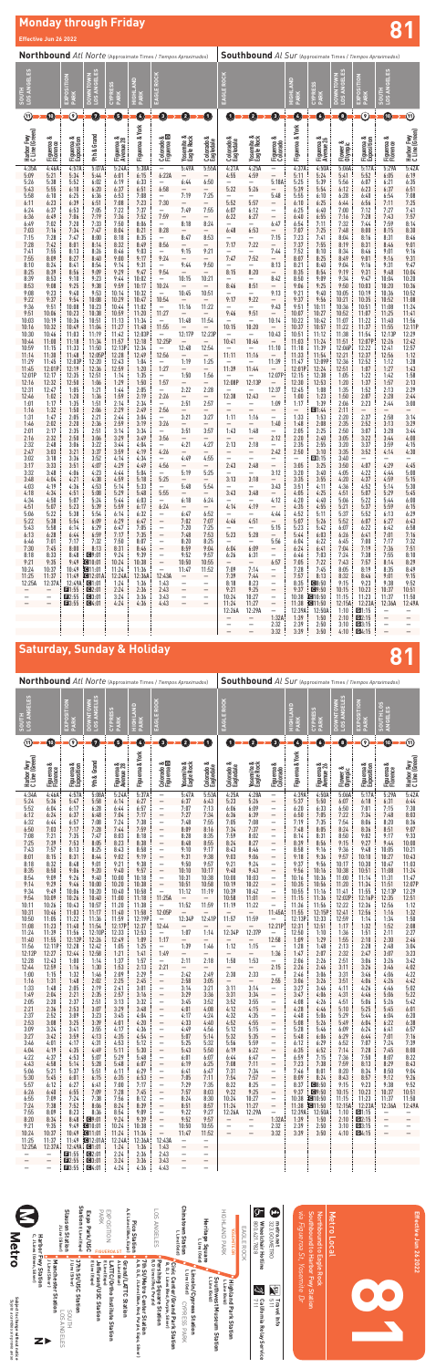# **Monday through Friday Effective Jun 26 2022 81**

| Northbound Atl Norte (Approximate Times / Tiempos Aproximados) |                        |                                       |                                                          |                         | <b>Southbound</b> Al Sur (Approximate Times / Tiempos Aproximados) |                                                      |                                           |                                   |                           |                                   |                                               |                                             |                          |                                             |                          |                                                        |                              |
|----------------------------------------------------------------|------------------------|---------------------------------------|----------------------------------------------------------|-------------------------|--------------------------------------------------------------------|------------------------------------------------------|-------------------------------------------|-----------------------------------|---------------------------|-----------------------------------|-----------------------------------------------|---------------------------------------------|--------------------------|---------------------------------------------|--------------------------|--------------------------------------------------------|------------------------------|
| <b>IGELES</b><br><b>LOS AN</b><br>HINOS                        |                        | EXPOSITION<br>PARK                    | ಟ<br><b>NWNTOWN</b><br><b>GEL</b><br>₹<br>$\frac{20}{1}$ | CYPRESS<br>PARK         | <b>GHLAND</b><br><b>PARK</b><br>E                                  | EAGLE ROCK                                           |                                           |                                   | <b>ROCK</b><br>EAGLE      |                                   |                                               | HIGHLAND<br>PARK                            | CYPRESS<br>PARK          | ANGELES<br><b>MWNTOWN</b><br>$\frac{20}{1}$ | EXPOSITION<br>PARK       | <b>IGELES</b><br>₹<br><b>SOUTH</b><br>$\overline{105}$ |                              |
| ⑪                                                              | $\bullet$              | $\odot$                               | $\overline{\mathbf{u}}$                                  | 6                       | Ø                                                                  | ➊                                                    | 0                                         | $\bf{O}$                          | O                         | 2                                 | G)                                            | $\bullet$                                   | O                        | 0                                           | $\odot$                  | ❶                                                      | ⊕                            |
| Harbor Fwy<br>C Line (Green)                                   | Figueroa &<br>Florence | Figueroa &<br>Exposition              | 9th & Grand                                              | Figueroa &<br>Avenue 28 | Figueroa & York                                                    | Colorado &<br>Figueroa <b>D</b>                      | Yosemite &<br>Eagle Rock                  | ಂಶ<br>Colorado &<br>Eagledale     | Colorado &<br>Eagledale   | Yosemite &<br>Eagle Rock          | Figueroa &<br>Colorado                        | Figueroa & York                             | Figueroa &<br>Avenue 26  | Flower &<br>Olympic                         | Figueroa &<br>Exposition | Figueroa &<br>Florence                                 | Harbor Fwy<br>C Line (Green) |
| 4:35A<br>5:09                                                  | 4:46A<br>5:21          | 4:57A<br>5:34                         | 5:07A<br>5:44                                            | 5:24A<br>6:01           | 5:38A<br>6:15                                                      | 6:22A                                                | 5:49A<br>—                                | 5:55A                             | 4:21A<br>4:55             | 4:25A<br>4:59                     | -                                             | 4:37A<br>5:11                               | 4:50A<br>5:24            | 5:06A<br>5:41                               | 5:17A<br>5:52            | 5:29A<br>6:05                                          | 5:42A<br>6:19                |
| 5:26<br>5:43                                                   | 5:38<br>5:55           | 5:52<br>6:10                          | 6:02<br>6:20                                             | 6:19<br>6:37            | 6:33<br>6:51                                                       | -<br>6:58                                            | 6:44<br>$\qquad \qquad -$                 | 6:50<br>—                         | 5:22                      | -<br>5:26                         | 5:18A                                         | 5:25<br>5:39                                | 5:39<br>5:54             | 5:56<br>6:12                                | 6:07<br>6:23             | 6:21<br>6:37                                           | 6:35<br>6:51                 |
| 5:58<br>6:11                                                   | 6:10<br>6:23           | 6:25<br>6:39                          | 6:36<br>6:51                                             | 6:53<br>7:08            | 7:08<br>7:23                                                       | 7:30                                                 | 7:19<br>-                                 | 7:25<br>-                         | 5:52                      | 5:57                              | 5:48<br>—                                     | 5:55<br>6:10                                | 6:10<br>6:25             | 6:28<br>6:44                                | 6:40<br>6:56             | 6:54<br>7:11                                           | 7:08<br>7:25                 |
| 6:24<br>6:36                                                   | 6:37<br>6:49           | 6:53<br>7:06                          | 7:05<br>7:19                                             | 7:22<br>7:36            | 7:37<br>7:52                                                       | -<br>7:59                                            | 7:49<br>$\overline{\phantom{0}}$          | 7:55<br>—                         | 6:07<br>6:22              | 6:12<br>6:27                      | $\equiv$<br>$\overline{a}$                    | 6:25<br>6:40                                | 6:40<br>6:55             | 7:00<br>7:16                                | 7:12<br>7:28             | 7:27<br>7:43                                           | 7:41<br>7:57                 |
| 6:49<br>7:03                                                   | 7:02<br>7:16           | 7:20<br>7:34                          | 7:33<br>7:47                                             | 7:50<br>8:04            | 8:06<br>8:21                                                       | $\overline{\phantom{0}}$<br>8:28                     | 8:18<br>$\qquad \qquad -$                 | 8:24<br>—                         | 6:48                      | -<br>6:53                         | 6:47<br>—                                     | 6:54<br>7:07                                | 7:11<br>7:25             | 7:32<br>7:48                                | 7:44<br>8:00             | 7:59<br>8:15                                           | 8:14<br>8:30                 |
| 7:15<br>7:28                                                   | 7:28<br>7:42           | 7:47<br>8:01                          | 8:00<br>8:14                                             | 8:18<br>8:32            | 8:35<br>8:49                                                       | $\overline{\phantom{0}}$<br>8:56                     | 8:47<br>-                                 | 8:53<br>-                         | 7:17                      | 7:22                              | 7:15<br>$\overline{\phantom{0}}$              | 7:23<br>7:37                                | 7:41<br>7:55             | 8:04<br>8:19                                | 8:16<br>8:31             | 8:31<br>8:46                                           | 8:46<br>9:01                 |
| 7:41<br>7:55                                                   | 7:55<br>8:09           | 8:13<br>8:27                          | 8:26<br>8:40                                             | 8:46<br>9:00            | 9:03<br>9:17                                                       | -<br>9:24                                            | 9:15<br>$\qquad \qquad -$                 | 9:21<br>—                         | -<br>7:47                 | -<br>7:52                         | 7:44                                          | 7:52<br>8:07                                | 8:10<br>8:25             | 8:34<br>8:49                                | 8:46<br>9:01             | 9:01<br>9:16                                           | 9:16<br>9:31                 |
| 8:10                                                           | 8:24                   | 8:41                                  | 8:54                                                     | 9:14                    | 9:31                                                               | -                                                    | 9:44                                      | 9:50                              |                           | -                                 | 8:13                                          | 8:21                                        | 8:40                     | 9:04                                        | 9:16                     | 9:31                                                   | 9:47                         |
| 8:25<br>8:39                                                   | 8:39<br>8:53           | 8:56<br>9:10                          | 9:09<br>9:23                                             | 9:29<br>9:44            | 9:47<br>10:02                                                      | 9:54<br>$\overline{\phantom{0}}$                     | 10:15                                     | $\overline{\phantom{0}}$<br>10:21 | 8:15                      | 8:20                              | —<br>8:42                                     | 8:35<br>8:50                                | 8:54<br>9:09             | 9:19<br>9:34                                | 9:31<br>9:47             | 9:48<br>10:04                                          | 10:04<br>10:20               |
| 8:53<br>9:08                                                   | 9:08<br>9:23           | 9:25<br>9:40                          | 9:38<br>9:53                                             | 9:59<br>10:14           | 10:17<br>10:32                                                     | 10:24<br>-                                           | $\overline{\phantom{0}}$<br>10:45         | -<br>10:51                        | 8:46                      | 8:51                              | —<br>9:13                                     | 9:06<br>9:21                                | 9:25<br>9:40             | 9:50<br>10:05                               | 10:03<br>10:19           | 10:20<br>10:36                                         | 10:36<br>10:52               |
| 9:22<br>9:36                                                   | 9:37<br>9:51           | 9:54<br>10:08                         | 10:08<br>10:23                                           | 10:29<br>10:44          | 10:47<br>11:02                                                     | 10:54<br>$\overline{\phantom{0}}$                    | $\qquad \qquad -$<br>11:16                | 11:22                             | 9:17<br>-                 | 9:22<br>-                         | $\overline{\phantom{0}}$<br>9:43              | 9:37<br>9:51                                | 9:56<br>10:11            | 10:21<br>10:36                              | 10:35<br>10:51           | 10:52<br>11:08                                         | 11:08<br>11:24               |
| 9:51<br>10:03                                                  | 10:06<br>10:19         | 10:23<br>10:36                        | 10:38<br>10:51                                           | 10:59<br>11:13          | 11:20<br>11:34                                                     | 11:27<br>$\overline{\phantom{0}}$                    | $\qquad \qquad -$<br>11:48                | $\qquad \qquad -$<br>11:54        | 9:46                      | 9:51                              | 10:14                                         | 10:07<br>10:22                              | 10:27<br>10:42           | 10:52<br>11:07                              | 11:07<br>11:22           | 11:25<br>11:40                                         | 11:41<br>11:56               |
| 10:16<br>10:30                                                 | 10:32<br>10:46         | 10:49<br>11:03                        | 11:04<br>11:19                                           | 11:27<br>11:42          | 11:48<br>12:03P                                                    | 11:55                                                | $\overline{\phantom{0}}$<br>12:17P        | -<br>12:23P                       | 10:15                     | 10:20                             | $\overline{\phantom{0}}$<br>10:43             | 10:37                                       | 10:57<br>11:12           | 11:22<br>11:38                              | 11:37<br>11:54           | 11:55<br>12:13P                                        | 12:11P<br>12:29              |
| 10:44                                                          | 11:00                  | 11:18                                 | 11:34                                                    | 11:57                   | 12:18                                                              | 12:25P                                               |                                           |                                   | 10:41                     | 10:46                             |                                               | 10:51<br>11:03                              | 11:24                    | 11:51                                       | 12:07P                   | 12:26                                                  | 12:42                        |
| 10:59<br>11:14                                                 | 11:15<br>11:30         | 11:33<br>11:48                        | 11:50<br>12:05P                                          | 12:13P<br>12:28         | 12:34<br>12:49                                                     | $\qquad \qquad -$<br>12:56                           | 12:48<br>$\qquad \qquad -$                | 12:54<br>$\overline{\phantom{0}}$ | 11:11                     | $\overline{\phantom{0}}$<br>11:16 | 11:10                                         | 11:18<br>11:33                              | 11:39<br>11:54           | 12:06P<br>12:21                             | 12:22<br>12:37           | 12:41<br>12:56                                         | 12:57<br>1:12                |
| 11:29<br>11:45                                                 | 11:45<br>12:01P        | 12:03P<br>12:19                       | 12:20<br>12:36                                           | 12:43<br>12:59          | 1:04<br>1:20                                                       | $\overline{\phantom{0}}$<br>1:27                     | 1:19<br>-                                 | 1:25<br>—                         | 11:39                     | 11:44                             | 11:39                                         | 11:47<br>12:01P                             | 12:09P<br>12:24          | 12:36<br>12:51                              | 12:52<br>1:07            | 1:12<br>1:27                                           | 1:28<br>1:43                 |
| 12:01P<br>12:16                                                | 12:17<br>12:32         | 12:35<br>12:50                        | 12:51<br>1:06                                            | 1:14<br>1:29            | 1:35<br>1:50                                                       | -<br>1:57                                            | 1:50<br>$\qquad \qquad -$                 | 1:56<br>$\overline{\phantom{0}}$  | 12:08P                    | -<br>12:13P                       | 12:07P                                        | 12:15<br>12:30                              | 12:38<br>12:53           | 1:05<br>1:20                                | 1:22<br>1:37             | 1:42<br>1:57                                           | 1:58<br>2:13                 |
| 12:31<br>12:46                                                 | 12:47<br>1:02          | 1:05<br>1:20                          | 1:21<br>1:36                                             | 1:44<br>1:59            | 2:05<br>2:19                                                       | -<br>2:26                                            | 2:22<br>$\qquad \qquad -$                 | 2:28<br>—                         | 12:38                     | -<br>12:43                        | 12:37                                         | 12:45<br>1:00                               | 1:08<br>1:23             | 1:35<br>1:50                                | 1:52<br>2:07             | 2:13<br>2:28                                           | 2:29<br>2:44                 |
| 1:01<br>1:16                                                   | 1:17<br>1:32           | 1:35<br>1:50                          | 1:51<br>2:06                                             | 2:14<br>2:29            | 2:34<br>2:49                                                       | 2:56                                                 | 2:51                                      | 2:57                              |                           |                                   | 1:09                                          | 1:17<br>$\qquad \qquad -$                   | 1:39<br>1:44             | 2:06<br>2:11                                | 2:23<br>—                | 2:44                                                   | 3:00                         |
| 1:31                                                           | 1:47                   | 2:05                                  | 2:21                                                     | 2:44                    | 3:04                                                               | -                                                    | -<br>3:21                                 | -<br>3:27                         | 1:11                      | 1:16                              | -<br>-                                        | 1:33                                        | 1:53                     | 2:20                                        | 2:37                     | 2:58                                                   | 3:14                         |
| 1:46<br>2:01                                                   | 2:02<br>2:17           | 2:20<br>2:35                          | 2:36<br>2:51                                             | 2:59<br>3:14            | 3:19<br>3:34                                                       | 3:26                                                 | $\qquad \qquad -$<br>3:51                 | -<br>3:57                         | 1:43                      | 1:48                              | 1:40<br>-                                     | 1:48<br>2:05                                | 2:08<br>2:25             | 2:35<br>2:50                                | 2:52<br>3:07             | 3:13<br>3:28                                           | 3:29<br>3:44                 |
| 2:16                                                           | 2:32<br>2:48           | 2:50<br>3:06                          | 3:06<br>3:22                                             | 3:29<br>3:44            | 3:49<br>4:04                                                       | 3:56<br>-                                            | $\overline{\phantom{0}}$<br>4:21          | 4:27                              | 2:13                      | $\qquad \qquad -$<br>2:18         | 2:12<br>$\overline{\phantom{0}}$              | 2:20<br>2:35                                | 2:40<br>2:55             | 3:05<br>3:20                                | 3:22<br>3:37             | 3:44<br>3:59                                           | 4:00<br>4:15                 |
| $2:32$<br>$2:47$<br>3:02                                       | 3:03<br>3:18           | 3:21<br>3:36                          | 3:37<br>3:52                                             | 3:59<br>4:14            | 4:19<br>4:34                                                       | 4:26<br>-                                            | -<br>4:49                                 | -<br>4:55                         | —<br>-                    | -<br>-                            | 2:42                                          | 2:50<br>-                                   | 3:10<br>B3:15            | 3:35<br>3:40                                | 3:52<br>-                | 4:14<br>-                                              | 4:30<br>-                    |
| 3:17<br>3:32                                                   | 3:33<br>3:48           | 3:51<br>4:06                          | 4:07<br>4:23                                             | 4:29<br>4:44            | 4:49<br>5:04                                                       | 4:56<br>-                                            | $\qquad \qquad -$<br>5:19                 | $\overline{\phantom{0}}$<br>5:25  | 2:43<br>-                 | 2:48<br>-                         | $\bar{a}$<br>3:12                             | 3:05<br>3:20                                | 3:25<br>3:40             | 3:50<br>4:05                                | 4:07<br>4:22             | 4:29<br>4:44                                           | 4:45<br>5:00                 |
| 3:48<br>4:03                                                   | 4:04<br>4:19           | 4:21<br>4:36                          | 4:38<br>4.53                                             | 4:59<br>5:14            | 5:18<br>5:33                                                       | 5:25<br>$\overline{\phantom{0}}$                     | $\qquad \qquad -$<br>5:48                 | $\qquad \qquad -$<br>5:54         | 3:13<br>-                 | 3:18<br>$\overline{\phantom{0}}$  | $\overline{\phantom{0}}$<br>3:43              | 3:35<br>3:51                                | 3:55<br>4:11             | 4:20<br>4:36                                | 4:37<br>4:52             | 4:59<br>5:14                                           | 5:15<br>5:30                 |
| 4:18                                                           | 4:34                   | 4:51                                  | 5:08                                                     | 5:29                    | 5:48                                                               | 5:55                                                 | -                                         | -                                 | 3:43                      | 3:48                              | -                                             | 4:05                                        | 4:25                     | 4:51                                        | 5:07                     | 5:29                                                   | 5:45                         |
| 4:34<br>4:51                                                   | 4:50<br>5:07           | 5:07<br>5:23                          | 5:24<br>5:39                                             | 5:44<br>5:59            | 6:03<br>6:17                                                       | -<br>6:24                                            | 6:18<br>$\qquad \qquad -$                 | 6:24<br>$\overline{\phantom{0}}$  | -<br>4:14                 | -<br>4:19                         | 4:12<br>—                                     | 4:20<br>4:35                                | 4:40<br>4:55             | 5:06<br>5:21                                | 5:22<br>5:37             | 5:44<br>5:59                                           | 6:00<br>6:15                 |
| 5:06<br>5:22                                                   | 5:22<br>5:38           | 5:38<br>5:54                          | 5:54<br>6:09                                             | 6:14<br>6:29            | 6:32<br>6:47                                                       | -<br>$\overline{\phantom{0}}$                        | 6:47<br>7:02                              | 6:52<br>7:07                      | -<br>4:46                 | -<br>4:51                         | 4:44<br>$\overline{\phantom{0}}$              | 4:52<br>5:07                                | 5:11<br>5:26             | 5:37<br>5:52                                | 5:52<br>6:07             | 6:13<br>6:27                                           | 6:29<br>6:43                 |
| 5:43<br>6:13                                                   | 5:58<br>6:28           | 6:14<br>6:44                          | 6:29<br>6:59                                             | 6:47<br>7:17            | 7:05<br>7:35                                                       | -<br>$\overline{a}$                                  | 7:20<br>7:48                              | 7:25<br>7.53                      | 5:23                      | $\qquad \qquad -$<br>5:28         | 5:15<br>$\qquad \qquad -$                     | 5:23<br>5:44                                | 5:42<br>6:03             | 6:07<br>6:26                                | 6:22<br>6:41             | 6:42<br>7:01                                           | 6:58<br>7:16                 |
| 6:46<br>7:30                                                   | 7:01<br>7:45           | 7:17<br>8:00                          | 7:32<br>8:13                                             | 7:50<br>8:31            | 8:07<br>8:46                                                       | $\bar{a}$                                            | 8:20<br>8:59                              | 8:25<br>9:04                      | -<br>6:04                 | -<br>6:09                         | 5:56<br>$\overline{\phantom{0}}$              | 6:04<br>6:24                                | 6:22<br>6:41             | 6:45<br>7:04                                | 7:00<br>7:19             | 7:17<br>7:36                                           | 7:32<br>7:51                 |
| 8:18                                                           | 8:33                   | 8:48                                  | Q9:01                                                    | 9:24                    | 9:39                                                               | -                                                    | 9:52                                      | 9:57                              | 6:26                      | 6:31                              | —                                             | 6:46                                        | 7:03                     | 7:24                                        | 7:38                     | 7:55                                                   | 8:10                         |
| 9:21<br>$\frac{10:24}{11:25}$                                  | 9:35<br>10:37          | 9:49<br>10:49                         | 10:01<br>11:01                                           | 10:24<br>11:24          | 10:38<br>11:36                                                     | $\overline{\phantom{0}}$<br>$\overline{\phantom{0}}$ | 10:50<br>11:47                            | 10:55<br>11:52                    | $\qquad \qquad -$<br>7:09 | $\qquad \qquad -$<br>7:14         | 6:57<br>$\bar{a}$                             | 7:05<br>7:28                                | 7:22<br>7:45             | 7:43<br>8:05                                | 7:57<br>8:19             | 8:14<br>8:35                                           | 8:29<br>8:49                 |
| 12:25A                                                         | 11:37<br>12:37A        | 11:49<br>12:49A                       | <b>C</b> 12:01A<br>C1:01                                 | 12:24A<br>1:24          | 12:36A<br>1:36                                                     | 12:43A<br>1:43                                       | $\overline{\phantom{a}}$<br>$\frac{1}{1}$ | $\qquad \qquad -$<br>-            | 7:39<br>8:18              | 7:44<br>8:23                      | $\bar{a}$                                     | 7:57<br>8:35                                | 8:13<br>$C = 8:50$       | 8:32<br>9:15                                | 8:46<br>9:23             | 9:01<br>9:38                                           | 9:15<br>9:52                 |
| —                                                              | <sup>-</sup>           | $\blacksquare$ 1:55<br>$\square$ 2:55 | C2:01<br>C3:01                                           | 2:24<br>3:24            | 2:36<br>3:36                                                       | 2:43<br>3:43                                         |                                           | -<br>-                            | 9:21<br>10:24             | 9:25<br>10:27                     | —                                             | 9:37<br>10:38                               | Q9:50<br>10:50           | 10:15<br>11:15                              | 10:23<br>11:23           | 10:37<br>11:37                                         | 10:51<br>11:50               |
|                                                                | $\overline{a}$         | $\square 3:55$                        | Q4:01                                                    | 4:24                    | 4:36                                                               | 4:43                                                 | $\equiv$                                  | $\overline{a}$                    | 11:24<br>12:26A           | 11:27<br>12:29A                   | $\overline{\phantom{0}}$<br>$\qquad \qquad -$ | 11:38<br>12:39A                             | <b>C</b> 11:50<br>12:50A | 12:15A<br>1:10                              | 12:23A<br>G1:15          | 12:36A                                                 | 12:49A<br>-                  |
|                                                                |                        |                                       |                                                          |                         |                                                                    |                                                      |                                           |                                   | —                         | $\overline{\phantom{0}}$          | 1:32A<br>2:32                                 | 1:39                                        | 1:50<br>2:50             | 2:10<br>3:10                                | C2:15<br>G3:15           | $\bar{a}$                                              | -                            |
|                                                                |                        |                                       |                                                          |                         |                                                                    |                                                      |                                           |                                   | $\overline{\phantom{a}}$  | $\equiv$                          | 3:32                                          | $\begin{array}{c} 2:39 \\ 3:39 \end{array}$ | 3:50                     | 4:10                                        | G4:15                    | $\overline{\phantom{a}}$                               | $\overline{\phantom{a}}$     |

# **Saturday, Sunday & Holiday <b>81**

| Northbound Atl Norte (Approximate Times / Tiempos Aproximados)                                                                                                                                                                                                                                                                                                                                                                                                                                                                                                                                                                                                                                                                                                                                                                                                                                                                                                                                                                                                                                                                                                                                                                                                                                                                                                                                                                 |                                                                                                                                                                                                                                                                                                                                                                                                                                                                                                                       |                                                                                                                                                                                                                                                                                                                                                                                                                                                                                                                                                                                                                                                                                                                                                                                                                                                                                                                                             |                                                                                                                                                                                                                                                                                                                                                                                                                                                                                                                                                                                                                                                         |                                                                                                                                                                                                                                                                                                                                                                                                                                                                                                                    | <b>Southbound</b> Al Sur (Approximate Times / Tiempos Aproximados)                                                                                                                                                                                                                                                                                                                                                                                                                                                                      |                                                                                                                                                                                                                                                                                                                                                                                                                                       |                                                                                                                                                                                                                                                                                                                                                                                                                                                                                |                                                                                                                                                                                                                                                                                                                                                                                                                                                                                                                                                                                                                          |                                                                                                                                                                                                                                                                                                                                                                                                                             |                                                                                                                                                                                                                                                                                                                                                                                                                                          |                                                                                                                                                                                                                                                                                                                                                                                                                             |                                                                                                                                                                                                                                                                                                                                                                                                                                 |                                                                                                                                                                                                                                                                                                                                                                                                                       |                                                                                                                                                                                                                                                                                                                                                                                                                                      |
|--------------------------------------------------------------------------------------------------------------------------------------------------------------------------------------------------------------------------------------------------------------------------------------------------------------------------------------------------------------------------------------------------------------------------------------------------------------------------------------------------------------------------------------------------------------------------------------------------------------------------------------------------------------------------------------------------------------------------------------------------------------------------------------------------------------------------------------------------------------------------------------------------------------------------------------------------------------------------------------------------------------------------------------------------------------------------------------------------------------------------------------------------------------------------------------------------------------------------------------------------------------------------------------------------------------------------------------------------------------------------------------------------------------------------------|-----------------------------------------------------------------------------------------------------------------------------------------------------------------------------------------------------------------------------------------------------------------------------------------------------------------------------------------------------------------------------------------------------------------------------------------------------------------------------------------------------------------------|---------------------------------------------------------------------------------------------------------------------------------------------------------------------------------------------------------------------------------------------------------------------------------------------------------------------------------------------------------------------------------------------------------------------------------------------------------------------------------------------------------------------------------------------------------------------------------------------------------------------------------------------------------------------------------------------------------------------------------------------------------------------------------------------------------------------------------------------------------------------------------------------------------------------------------------------|---------------------------------------------------------------------------------------------------------------------------------------------------------------------------------------------------------------------------------------------------------------------------------------------------------------------------------------------------------------------------------------------------------------------------------------------------------------------------------------------------------------------------------------------------------------------------------------------------------------------------------------------------------|--------------------------------------------------------------------------------------------------------------------------------------------------------------------------------------------------------------------------------------------------------------------------------------------------------------------------------------------------------------------------------------------------------------------------------------------------------------------------------------------------------------------|-----------------------------------------------------------------------------------------------------------------------------------------------------------------------------------------------------------------------------------------------------------------------------------------------------------------------------------------------------------------------------------------------------------------------------------------------------------------------------------------------------------------------------------------|---------------------------------------------------------------------------------------------------------------------------------------------------------------------------------------------------------------------------------------------------------------------------------------------------------------------------------------------------------------------------------------------------------------------------------------|--------------------------------------------------------------------------------------------------------------------------------------------------------------------------------------------------------------------------------------------------------------------------------------------------------------------------------------------------------------------------------------------------------------------------------------------------------------------------------|--------------------------------------------------------------------------------------------------------------------------------------------------------------------------------------------------------------------------------------------------------------------------------------------------------------------------------------------------------------------------------------------------------------------------------------------------------------------------------------------------------------------------------------------------------------------------------------------------------------------------|-----------------------------------------------------------------------------------------------------------------------------------------------------------------------------------------------------------------------------------------------------------------------------------------------------------------------------------------------------------------------------------------------------------------------------|------------------------------------------------------------------------------------------------------------------------------------------------------------------------------------------------------------------------------------------------------------------------------------------------------------------------------------------------------------------------------------------------------------------------------------------|-----------------------------------------------------------------------------------------------------------------------------------------------------------------------------------------------------------------------------------------------------------------------------------------------------------------------------------------------------------------------------------------------------------------------------|---------------------------------------------------------------------------------------------------------------------------------------------------------------------------------------------------------------------------------------------------------------------------------------------------------------------------------------------------------------------------------------------------------------------------------|-----------------------------------------------------------------------------------------------------------------------------------------------------------------------------------------------------------------------------------------------------------------------------------------------------------------------------------------------------------------------------------------------------------------------|--------------------------------------------------------------------------------------------------------------------------------------------------------------------------------------------------------------------------------------------------------------------------------------------------------------------------------------------------------------------------------------------------------------------------------------|
| SOUTH<br>LOS ANGELES<br>Mor<br>EXPOSI<br>PARK                                                                                                                                                                                                                                                                                                                                                                                                                                                                                                                                                                                                                                                                                                                                                                                                                                                                                                                                                                                                                                                                                                                                                                                                                                                                                                                                                                                  | LOS ANGELES<br><b>DOWNTOWN</b>                                                                                                                                                                                                                                                                                                                                                                                                                                                                                        | <b>HIGHLAND</b><br>CYPRESS<br>PARK<br><b>PARK</b>                                                                                                                                                                                                                                                                                                                                                                                                                                                                                                                                                                                                                                                                                                                                                                                                                                                                                           | EAGLE ROCK                                                                                                                                                                                                                                                                                                                                                                                                                                                                                                                                                                                                                                              |                                                                                                                                                                                                                                                                                                                                                                                                                                                                                                                    |                                                                                                                                                                                                                                                                                                                                                                                                                                                                                                                                         | EROCK<br>EAGLE                                                                                                                                                                                                                                                                                                                                                                                                                        |                                                                                                                                                                                                                                                                                                                                                                                                                                                                                |                                                                                                                                                                                                                                                                                                                                                                                                                                                                                                                                                                                                                          | <b>GHLAND</b><br><b>PARK</b>                                                                                                                                                                                                                                                                                                                                                                                                | CYPRESS<br>PARK                                                                                                                                                                                                                                                                                                                                                                                                                          | ANGELES<br><b>DOWNTOWN</b><br>105                                                                                                                                                                                                                                                                                                                                                                                           | 즈<br>드<br>EXPOSIT<br>PARK                                                                                                                                                                                                                                                                                                                                                                                                       | SOUTH LOS<br>ANGELES                                                                                                                                                                                                                                                                                                                                                                                                  |                                                                                                                                                                                                                                                                                                                                                                                                                                      |
| $\odot$<br>⊕<br>$\bf \Phi$                                                                                                                                                                                                                                                                                                                                                                                                                                                                                                                                                                                                                                                                                                                                                                                                                                                                                                                                                                                                                                                                                                                                                                                                                                                                                                                                                                                                     | $\bm{\mathcal{Q}}$                                                                                                                                                                                                                                                                                                                                                                                                                                                                                                    | ❺<br>❹                                                                                                                                                                                                                                                                                                                                                                                                                                                                                                                                                                                                                                                                                                                                                                                                                                                                                                                                      | $\mathbf 0$                                                                                                                                                                                                                                                                                                                                                                                                                                                                                                                                                                                                                                             | ❹                                                                                                                                                                                                                                                                                                                                                                                                                                                                                                                  | $\bf{O}$                                                                                                                                                                                                                                                                                                                                                                                                                                                                                                                                | $\mathbf 0$                                                                                                                                                                                                                                                                                                                                                                                                                           | 0                                                                                                                                                                                                                                                                                                                                                                                                                                                                              | ❶                                                                                                                                                                                                                                                                                                                                                                                                                                                                                                                                                                                                                        | ❹                                                                                                                                                                                                                                                                                                                                                                                                                           | O                                                                                                                                                                                                                                                                                                                                                                                                                                        | 0                                                                                                                                                                                                                                                                                                                                                                                                                           | $\bm{\mathsf{\odot}}$                                                                                                                                                                                                                                                                                                                                                                                                           | $\bf \bm \Theta$                                                                                                                                                                                                                                                                                                                                                                                                      | $\bm{\textcircled{\small{1}}}$                                                                                                                                                                                                                                                                                                                                                                                                       |
| Harbor Fwy<br>C Line (Green)<br>Figueroa &<br>Florence<br>Figueroa &<br>Exposition                                                                                                                                                                                                                                                                                                                                                                                                                                                                                                                                                                                                                                                                                                                                                                                                                                                                                                                                                                                                                                                                                                                                                                                                                                                                                                                                             | 9th & Grand                                                                                                                                                                                                                                                                                                                                                                                                                                                                                                           | Figueroa & York<br>Figueroa &<br>Avenue 28                                                                                                                                                                                                                                                                                                                                                                                                                                                                                                                                                                                                                                                                                                                                                                                                                                                                                                  | Colorado &<br>Figueroa <b>D</b>                                                                                                                                                                                                                                                                                                                                                                                                                                                                                                                                                                                                                         | Yosemite &<br>Eagle Rock                                                                                                                                                                                                                                                                                                                                                                                                                                                                                           | Colorado &<br>Eagledale                                                                                                                                                                                                                                                                                                                                                                                                                                                                                                                 | Colorado &<br>Eagledale                                                                                                                                                                                                                                                                                                                                                                                                               | Yosemite &<br>Eagle Rock                                                                                                                                                                                                                                                                                                                                                                                                                                                       | Figueroa &<br>Colorado                                                                                                                                                                                                                                                                                                                                                                                                                                                                                                                                                                                                   | Figueroa & York                                                                                                                                                                                                                                                                                                                                                                                                             | Figueroa &<br>Avenue 26                                                                                                                                                                                                                                                                                                                                                                                                                  | Flower &<br>Olympic                                                                                                                                                                                                                                                                                                                                                                                                         | Figueroa &<br>Exposition                                                                                                                                                                                                                                                                                                                                                                                                        | Figueroa &<br>Florence                                                                                                                                                                                                                                                                                                                                                                                                | Harbor Fwy<br>C Line (Green)                                                                                                                                                                                                                                                                                                                                                                                                         |
| 4:57A<br>4:34A<br>4:46A<br>5:24<br>5:36<br>5:47<br>5:52<br>6:04<br>6:17<br>6:12<br>6:37<br>6:24<br>6:32<br>6:44<br>6:57<br>6:50<br>7:03<br>7:17<br>7:08<br>7:21<br>7:35<br>7:25<br>7:39<br>7:53<br>7.43<br>7:57<br>8:13<br>8:01<br>8:15<br>8:31<br>8:18<br>8:32<br>8:48<br>8:35<br>8:50<br>9:06<br>8:54<br>9:09<br>9:26<br>9:14<br>9:29<br>9:46<br>9:34<br>9:49<br>10:06<br>9:54<br>10:09<br>10:26<br>10:11<br>10:26<br>10:43<br>10:31<br>10:46<br>11:03<br>10:50<br>11:05<br>11:22<br>11:08<br>11:23<br>11:40<br>11:24<br>11:39<br>11:56<br>11:40<br>11:55<br>12:12P<br>11:56<br>12:11P<br>12:28<br>12:12P<br>12:27<br>12:44<br>12:28<br>12:43<br>1:00<br>12:44<br>12:59<br>1:16<br>1:00<br>1:15<br>1:32<br>1:16<br>1:31<br>1:48<br>1:33<br>2:05<br>1:48<br>1:49<br>2:04<br>2:21<br>2:05<br>2:20<br>2:37<br>2:21<br>2:36<br>2:53<br>2:37<br>2:52<br>3:09<br>2:53<br>3:08<br>3:25<br>3:09<br>3:24<br>3:41<br>3:27<br>3:42<br>3:59<br>3:46<br>4:01<br>4:17<br>4:04<br>4:19<br>4:35<br>4:22<br>4:37<br>4:53<br>4:43<br>4:58<br>5:14<br>5:06<br>5:21<br>5:37<br>5:30<br>5:45<br>6:01<br>5:57<br>6:12<br>6:27<br>6:26<br>6:40<br>6:55<br>6:55<br>7:09<br>7:24<br>7:24<br>7:38<br>7:52<br>7:55<br>8:23<br>8:09<br>8:34<br>8:20<br>8:48<br>9:21<br>9:35<br>9:49<br>10:24<br>10:37<br>10:49<br>11:25<br>11:37<br>11:49<br>12:25A<br>12:37A<br>$\blacksquare$ 1:55<br>—<br>$\frac{1}{1}$<br>$\overline{a}$<br>$\blacksquare$ 2:55<br>- | 5:08A<br>5:58<br>6:28<br>6:48<br>7:08<br>7:28<br>7:47<br>8:05<br>8:25<br>8:44<br>9:01<br>9:20<br>9:40<br>10:00<br>10:20<br>10:40<br>10:57<br>11:17<br>11:36<br>11:54<br>12:10P<br>12:26<br>12:42<br>12:58<br>1:14<br>1:30<br>1:46<br>2:02<br>2:19<br>2:35<br>2:51<br>3:07<br>3:23<br>3:39<br>3:55<br>4:13<br>4:31<br>4:49<br>5:07<br>5:28<br>5:51<br>6:15<br>6:41<br>7:09<br>7:38<br>8:06<br>8:36<br>C9:01<br>10:01<br>11:01<br>12:01A<br>12:49A 01:01<br>Q2:01<br>C3:01<br>$\blacksquare$ 3:55   $\blacksquare$ 4:01 | 5:37A<br>5:24A<br>6:14<br>6:27<br>6:57<br>6:44<br>7:04<br>7:17<br>7:24<br>7:38<br>7:44<br>7:59<br>8:03<br>8:18<br>8:23<br>8:38<br>8:43<br>8:58<br>9:02<br>9:19<br>9:21<br>9:38<br>9:40<br>9:57<br>10:00<br>10:18<br>10:20<br>10:38<br>10:40<br>10:58<br>11:00<br>11:18<br>11:20<br>11:38<br>11:40<br>11:58<br>11:59<br>12:19P<br>12:17P<br>12:37<br>12:53<br>12:33<br>12:49<br>1:09<br>1:05<br>1:25<br>1:21<br>1:41<br>1:37<br>1:57<br>1:53<br>2:13<br>2:09<br>2:29<br>2:25<br>2:45<br>2:41<br>3:01<br>3:16<br>2:57<br>3:13<br>3:32<br>3:29<br>3:48<br>4:04<br>3:45<br>4:01<br>4:20<br>4:17<br>4:36<br>4:35<br>4:54<br>4:53<br>5:12<br>5:11<br>5:30<br>5:29<br>5:48<br>5:48<br>6:07<br>6:29<br>6:11<br>6:35<br>6:53<br>7:00<br>7:17<br>7:28<br>7:45<br>7:56<br>8:12<br>8:39<br>8:24<br>8:54<br>9:09<br>9:39<br>9:24<br>10:38<br>10:24<br>11:24<br>11:36<br>12.24A<br>12:36A<br>1:24<br>1:36<br>2:24<br>2:36<br>3:24<br>3:36<br>4:24<br>4:36 | $\overline{\phantom{0}}$<br>$\qquad \qquad -$<br>$\qquad \qquad -$<br>$\qquad \qquad -$<br>-<br>-<br>$\qquad \qquad -$<br>-<br>-<br>-<br>$\overline{\phantom{0}}$<br>$\qquad \qquad -$<br>$\qquad \qquad -$<br>11:25A<br>$\overline{\phantom{m}}$<br>12:05P<br>$\overline{\phantom{0}}$<br>12:44<br>$\overline{\phantom{0}}$<br>1:17<br>-<br>1:49<br>$\overline{\phantom{0}}$<br>2:21<br>$\qquad \qquad -$<br>-<br>-<br>-<br>-<br>$\overline{\phantom{0}}$<br>-<br>-<br>$\qquad \qquad -$<br>$\qquad \qquad -$<br>-<br>$\qquad \qquad -$<br>-<br>$\equiv$<br>$\qquad \qquad -$<br>$\overline{a}$<br>$\bar{a}$<br>12:43A<br>1:43<br>2:43<br>3:43<br>4:43 | 5:47A<br>6:37<br>7:07<br>7:27<br>7:48<br>8:09<br>8:28<br>8:48<br>9:10<br>9:31<br>9:50<br>10:10<br>10:31<br>10:51<br>11:12<br>$\qquad \qquad -$<br>11:52<br>$\overline{\phantom{0}}$<br>12:34P<br>1:07<br>$\overline{\phantom{0}}$<br>1:39<br>$\overline{\phantom{0}}$<br>2:11<br>—<br>2:42<br>2:58<br>3:14<br>3:29<br>3:45<br>4:01<br>4:17<br>4:33<br>4:49<br>5:07<br>5:25<br>5:43<br>6:01<br>6:19<br>6:41<br>7:05<br>7:29<br>7:57<br>8:24<br>8:51<br>9:22<br>9:52<br>10:50<br>11:47<br>$\bar{a}$<br>$\frac{1}{1}$ | 5:53A<br>6:43<br>7:13<br>7:34<br>7:55<br>8:16<br>8:35<br>8:55<br>9:17<br>9:38<br>9:57<br>10:17<br>10:38<br>10:58<br>11:19<br>$\overline{\phantom{m}}$<br>11:59<br>$\overline{\phantom{0}}$<br>12:41P<br>—<br>1:14<br>-<br>1:46<br>$\overline{\phantom{0}}$<br>2:18<br>-<br>2:49<br>3:05<br>3:21<br>3:36<br>3:52<br>4:08<br>4:24<br>4:40<br>4:56<br>5:14<br>5:32<br>5:50<br>6:07<br>6:25<br>6:47<br>7:11<br>7:35<br>8:03<br>8:30<br>8:57<br>9:27<br>9:57<br>10:55<br>11:52<br>$\frac{1}{1}$<br>-<br>$\equiv$<br>$\overline{\phantom{0}}$ | 4:25A<br>5:23<br>6:06<br>6:36<br>7:05<br>7:34<br>7:59<br>8:24<br>8:43<br>9:03<br>9:21<br>9:40<br>10:00<br>10:19<br>10:39<br>10:58<br>11:19<br>11:57<br>12:34P<br>1:12<br>1:50<br>2:30<br>3:11<br>3:31<br>3:52<br>4:12<br>4:32<br>4:52<br>5:12<br>5:32<br>5:56<br>6:19<br>6:44<br>7:08<br>7:31<br>7:54<br>8:22<br>9:22<br>10:24<br>11:24<br>12:26A<br>$\overline{\phantom{0}}$<br>$\overline{\phantom{0}}$<br>$\overline{\phantom{0}}$ | 4:28A<br>5:26<br>6:09<br>6:39<br>7:08<br>7:37<br>8:02<br>8:27<br>8:46<br>9:06<br>9:24<br>9:43<br>10:03<br>10:22<br>10:42<br>11:01<br>11:22<br>$\qquad \qquad -$<br>11:59<br>$\qquad \qquad -$<br>12:37P<br>$\overline{\phantom{0}}$<br>1:15<br>$\overline{\phantom{0}}$<br>1:53<br>—<br>2:33<br>-<br>3:14<br>3:34<br>3:55<br>4:15<br>4:35<br>4:55<br>5:15<br>5:35<br>5:59<br>6:22<br>6:47<br>7:11<br>7:34<br>7:57<br>8:25<br>9:25<br>10:27<br>11:27<br>12:29A<br>$\frac{1}{1}$ | $\overline{\phantom{0}}$<br>$\qquad \qquad -$<br>-<br>—<br>-<br>-<br>-<br>$\qquad \qquad -$<br>-<br>-<br>-<br>$\overline{\phantom{0}}$<br>$\overline{\phantom{0}}$<br>$\overline{\phantom{0}}$<br>$\overline{\phantom{0}}$<br>-<br>$\overline{\phantom{0}}$<br>11:45A<br>12:21P<br>$\overline{\phantom{0}}$<br>12:58<br>1:36<br>$\overline{\phantom{0}}$<br>2:15<br>—<br>2:55<br>-<br>$\overline{\phantom{0}}$<br>$\overline{\phantom{0}}$<br>$\overline{\phantom{0}}$<br>-<br>-<br>-<br>—<br>$\qquad \qquad -$<br>$\equiv$<br>$\overline{a}$<br>-<br>$\overline{\phantom{0}}$<br>$\frac{1}{1}$<br>1:32A<br>2:32<br>3:32 | 4:39A<br>5:37<br>6:20<br>6:50<br>7:19<br>7:48<br>8:14<br>8:39<br>8:58<br>9:18<br>9:37<br>9:56<br>10:16<br>10:35<br>10:55<br>11:15<br>11:36<br>11:55<br>12:13P<br>12:31<br>12:50<br>1:09<br>1:28<br>1:47<br>2:06<br>2:26<br>2:46<br>3:06<br>3:27<br>3:47<br>4:08<br>4:28<br>4:48<br>5:08<br>5:28<br>5:48<br>6:12<br>6:35<br>6:59<br>7:23<br>7:46<br>8:09<br>8:37<br>9:37<br>10:38<br>11:38<br>12:39A<br>1:39<br>2:39<br>3:39 | 4:50A<br>5:50<br>6:33<br>7:05<br>7:35<br>8:05<br>8:31<br>8:56<br>9:16<br>9:36<br>9:56<br>10:16<br>10:36<br>10:56<br>11:16<br>11:36<br>11:56<br>12:15P<br>12:33<br>12:51<br>1:10<br>1:29<br>1:48<br>2:07<br>2:26<br>2:46<br>3:06<br>3:26<br>3:46<br>4:06<br>4:26<br>4:46<br>5:06<br>5:26<br>5:46<br>6:06<br>6:29<br>6:52<br>7:15<br>7:38<br>8:01<br>8:24<br>$C = 8:50$<br>Q9:50<br>10:50<br>$C = 11.50$<br>12:50A<br>1:50<br>2:50<br>3:50 | 5:06A<br>6:07<br>6:50<br>7:22<br>7:54<br>8:24<br>8:50<br>9:15<br>9:36<br>9:57<br>10:17<br>10:38<br>11:00<br>11:20<br>11:41<br>12:02P<br>12:22<br>12:41<br>12:59<br>1:17<br>1:36<br>1:55<br>2:13<br>2:32<br>2:51<br>3:11<br>3:31<br>3:51<br>4:11<br>4:31<br>4:51<br>5:10<br>5:29<br>5:49<br>6:09<br>6:29<br>6:52<br>7:14<br>7:36<br>7:59<br>8:20<br>8:43<br>9:15<br>10:15<br>11:15<br>12:15A<br>1:10<br>2:10<br>3:10<br>4:10 | 5:17A<br>6:18<br>7:01<br>7:34<br>8:06<br>8:36<br>9:02<br>9:27<br>9:48<br>10:10<br>10:30<br>10:51<br>11:14<br>11:34<br>11:55<br>12:16P<br>12:36<br>12:56<br>1:14<br>1:32<br>1:51<br>2:10<br>2:28<br>2:47<br>3:06<br>3:26<br>3:46<br>4:06<br>4:26<br>4:46<br>5:06<br>5:25<br>5:44<br>6:04<br>6:24<br>6:44<br>7:07<br>7:28<br>7:50<br>8:13<br>8:34<br>8:57<br>9:23<br>10:23<br>11:23<br>12:23A<br>G1:15<br>G2:15<br>G3:15<br>G4:15 | 5:29A<br>6:31<br>7:15<br>7:48<br>8:20<br>8:51<br>9:17<br>9:44<br>10:05<br>10:27<br>10:47<br>11:08<br>11:31<br>11:51<br>12:13P<br>12:35<br>12:56<br>1:16<br>1:34<br>1:52<br>2:11<br>2:30<br>2:48<br>3:07<br>3:26<br>3:46<br>4:06<br>4:26<br>4:46<br>5:06<br>5:26<br>5:45<br>6:04<br>6:22<br>6:41<br>7:01<br>7:24<br>7:45<br>8:07<br>8:29<br>8:50<br>9:12<br>9:38<br>10:37<br>11:37<br>12:36A<br>$\bar{a}$<br>$\bar{a}$ | 5:42A<br>6:44<br>7:30<br>8:03<br>8:36<br>9:07<br>9:33<br>10:00<br>10:21<br>10:43<br>11:03<br>11:24<br>11:47<br>12:07P<br>12:29<br>12:51<br>1:12<br>1:32<br>1:50<br>2:08<br>2:27<br>2:46<br>3:04<br>3:23<br>3:42<br>4:02<br>4:22<br>4:42<br>5:02<br>5:22<br>5:42<br>6:01<br>6:20<br>6:38<br>6:57<br>7:16<br>7:39<br>8:00<br>8:22<br>8:43<br>9:04<br>9:26<br>9:52<br>10:51<br>11:50<br>12:49A<br>$\bar{a}$<br>$\overline{\phantom{a}}$ |